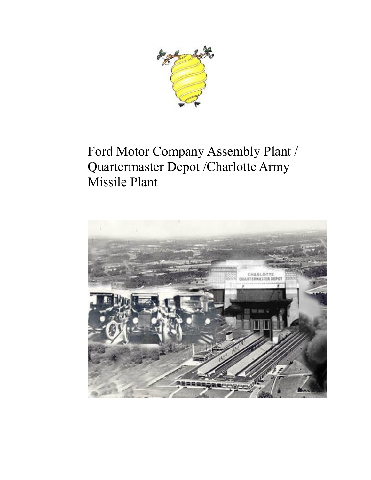

# Ford Motor Company Assembly Plant / Quartermaster Depot /Charlotte Army Missile Plant

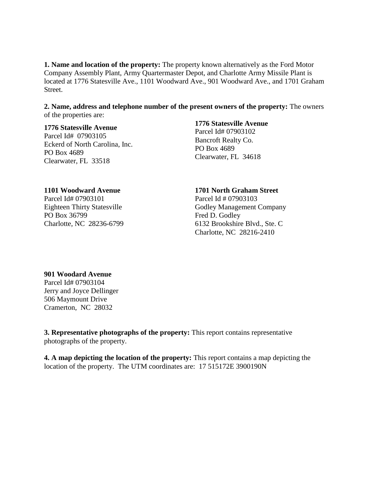**1. Name and location of the property:** The property known alternatively as the Ford Motor Company Assembly Plant, Army Quartermaster Depot, and Charlotte Army Missile Plant is located at 1776 Statesville Ave., 1101 Woodward Ave., 901 Woodward Ave., and 1701 Graham Street.

**2. Name, address and telephone number of the present owners of the property:** The owners of the properties are:

#### **1776 Statesville Avenue**

Parcel Id# 07903105 Eckerd of North Carolina, Inc. PO Box 4689 Clearwater, FL 33518

#### **1776 Statesville Avenue**

Parcel Id# 07903102 Bancroft Realty Co. PO Box 4689 Clearwater, FL 34618

#### **1101 Woodward Avenue**

Parcel Id# 07903101 Eighteen Thirty Statesville PO Box 36799 Charlotte, NC 28236-6799

#### **1701 North Graham Street**

Parcel Id # 07903103 Godley Management Company Fred D. Godley 6132 Brookshire Blvd., Ste. C Charlotte, NC 28216-2410

#### **901 Woodard Avenue**

Parcel Id# 07903104 Jerry and Joyce Dellinger 506 Maymount Drive Cramerton, NC 28032

**3. Representative photographs of the property:** This report contains representative photographs of the property.

**4. A map depicting the location of the property:** This report contains a map depicting the location of the property. The UTM coordinates are: 17 515172E 3900190N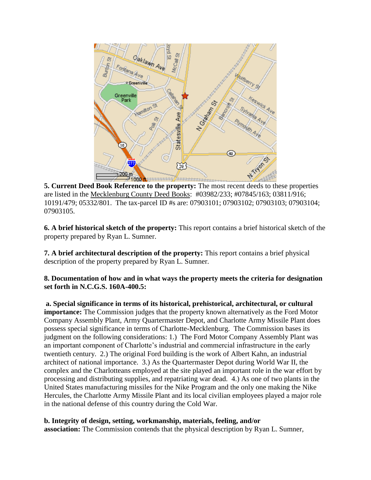

**5. Current Deed Book Reference to the property:** The most recent deeds to these properties are listed in the Mecklenburg County Deed Books: #03982/233; #07845/163; 03811/916; 10191/479; 05332/801. The tax-parcel ID #s are: 07903101; 07903102; 07903103; 07903104; 07903105.

**6. A brief historical sketch of the property:** This report contains a brief historical sketch of the property prepared by Ryan L. Sumner.

**7. A brief architectural description of the property:** This report contains a brief physical description of the property prepared by Ryan L. Sumner.

# **8. Documentation of how and in what ways the property meets the criteria for designation set forth in N.C.G.S. 160A-400.5:**

**a. Special significance in terms of its historical, prehistorical, architectural, or cultural importance:** The Commission judges that the property known alternatively as the Ford Motor Company Assembly Plant, Army Quartermaster Depot, and Charlotte Army Missile Plant does possess special significance in terms of Charlotte-Mecklenburg. The Commission bases its judgment on the following considerations: 1.) The Ford Motor Company Assembly Plant was an important component of Charlotte's industrial and commercial infrastructure in the early twentieth century. 2.) The original Ford building is the work of Albert Kahn, an industrial architect of national importance. 3.) As the Quartermaster Depot during World War II, the complex and the Charlotteans employed at the site played an important role in the war effort by processing and distributing supplies, and repatriating war dead. 4.) As one of two plants in the United States manufacturing missiles for the Nike Program and the only one making the Nike Hercules, the Charlotte Army Missile Plant and its local civilian employees played a major role in the national defense of this country during the Cold War.

**b. Integrity of design, setting, workmanship, materials, feeling, and/or association:** The Commission contends that the physical description by Ryan L. Sumner,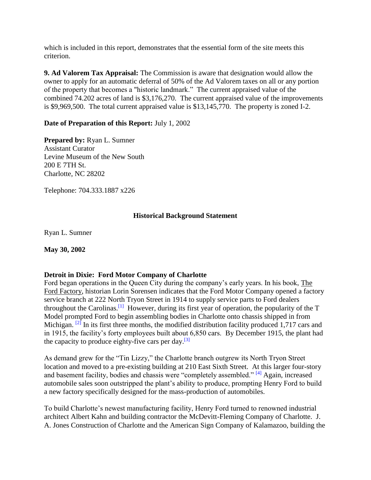which is included in this report, demonstrates that the essential form of the site meets this criterion.

**9. Ad Valorem Tax Appraisal:** The Commission is aware that designation would allow the owner to apply for an automatic deferral of 50% of the Ad Valorem taxes on all or any portion of the property that becomes a "historic landmark." The current appraised value of the combined 74.202 acres of land is \$3,176,270. The current appraised value of the improvements is \$9,969,500. The total current appraised value is \$13,145,770. The property is zoned I-2.

# **Date of Preparation of this Report:** July 1, 2002

**Prepared by:** Ryan L. Sumner Assistant Curator Levine Museum of the New South 200 E 7TH St. Charlotte, NC 28202

Telephone: 704.333.1887 x226

# **Historical Background Statement**

Ryan L. Sumner

**May 30, 2002**

### **Detroit in Dixie: Ford Motor Company of Charlotte**

Ford began operations in the Queen City during the company's early years. In his book, The Ford Factory, historian Lorin Sorensen indicates that the Ford Motor Company opened a factory service branch at 222 North Tryon Street in 1914 to supply service parts to Ford dealers throughout the Carolinas.<sup>[\[1\]](http://cmhpf.org/S&Rs%20Alphabetical%20Order/surveys&rfordplantII.htm#_edn19)</sup> However, during its first year of operation, the popularity of the  $T$ Model prompted Ford to begin assembling bodies in Charlotte onto chassis shipped in from Michigan. <sup>[\[2\]](http://cmhpf.org/S&Rs%20Alphabetical%20Order/surveys&rfordplantII.htm#_edn19)</sup> In its first three months, the modified distribution facility produced 1,717 cars and in 1915, the facility's forty employees built about 6,850 cars. By December 1915, the plant had the capacity to produce eighty-five cars per day.<sup>[\[3\]](http://cmhpf.org/S&Rs%20Alphabetical%20Order/surveys&rfordplantII.htm#_edn19)</sup>

As demand grew for the "Tin Lizzy," the Charlotte branch outgrew its North Tryon Street location and moved to a pre-existing building at 210 East Sixth Street. At this larger four-story and basement facility, bodies and chassis were "completely assembled." <sup>[\[4\]](http://cmhpf.org/S&Rs%20Alphabetical%20Order/surveys&rfordplantII.htm#_edn19)</sup> Again, increased automobile sales soon outstripped the plant's ability to produce, prompting Henry Ford to build a new factory specifically designed for the mass-production of automobiles.

To build Charlotte's newest manufacturing facility, Henry Ford turned to renowned industrial architect Albert Kahn and building contractor the McDevitt-Fleming Company of Charlotte. J. A. Jones Construction of Charlotte and the American Sign Company of Kalamazoo, building the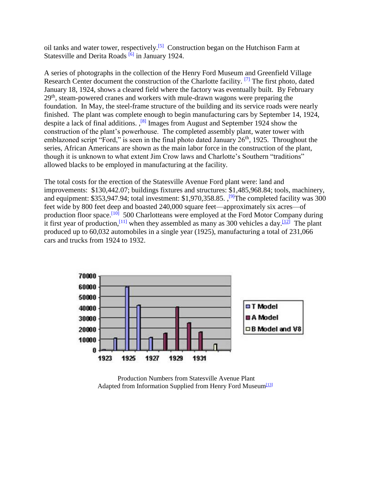oil tanks and water tower, respectively.<sup>[\[5\]](http://cmhpf.org/S&Rs%20Alphabetical%20Order/surveys&rfordplantII.htm#_edn19)</sup> Construction began on the Hutchison Farm at Statesville and Derita Roads  $\frac{[6]}{[6]}$  $\frac{[6]}{[6]}$  $\frac{[6]}{[6]}$  in January 1924.

A series of photographs in the collection of the Henry Ford Museum and Greenfield Village Research Center document the construction of the Charlotte facility. <sup>[\[7\]](http://cmhpf.org/S&Rs%20Alphabetical%20Order/surveys&rfordplantII.htm#_edn19)</sup> The first photo, dated January 18, 1924, shows a cleared field where the factory was eventually built. By February  $29<sup>th</sup>$ , steam-powered cranes and workers with mule-drawn wagons were preparing the foundation. In May, the steel-frame structure of the building and its service roads were nearly finished. The plant was complete enough to begin manufacturing cars by September 14, 1924, despite a lack of final additions.  $\frac{1}{8}$  Images from August and September 1924 show the construction of the plant's powerhouse. The completed assembly plant, water tower with emblazoned script "Ford," is seen in the final photo dated January  $26<sup>th</sup>$ , 1925. Throughout the series, African Americans are shown as the main labor force in the construction of the plant, though it is unknown to what extent Jim Crow laws and Charlotte's Southern "traditions" allowed blacks to be employed in manufacturing at the facility.

The total costs for the erection of the Statesville Avenue Ford plant were: land and improvements: \$130,442.07; buildings fixtures and structures: \$1,485,968.84; tools, machinery, and equipment: \$353,947.94; total investment: \$1,970,358.85. ,<sup>[\[9\]](http://cmhpf.org/S&Rs%20Alphabetical%20Order/surveys&rfordplantII.htm#_edn19)</sup>The completed facility was 300 feet wide by 800 feet deep and boasted 240,000 square feet—approximately six acres—of production floor space.<sup>[\[10\]](http://cmhpf.org/S&Rs%20Alphabetical%20Order/surveys&rfordplantII.htm#_edn10)</sup> 500 Charlotteans were employed at the Ford Motor Company during it first year of production, <sup>[\[11\]](http://cmhpf.org/S&Rs%20Alphabetical%20Order/surveys&rfordplantII.htm#_edn11)</sup> when they assembled as many as 300 vehicles a day. <sup>[\[12\]](http://cmhpf.org/S&Rs%20Alphabetical%20Order/surveys&rfordplantII.htm#_edn12)</sup> The plant produced up to 60,032 automobiles in a single year (1925), manufacturing a total of 231,066 cars and trucks from 1924 to 1932.



Production Numbers from Statesville Avenue Plant Adapted from Information Supplied from Henry Ford Museum<sup>[\[13\]](http://cmhpf.org/S&Rs%20Alphabetical%20Order/surveys&rfordplantII.htm#_edn13)</sup>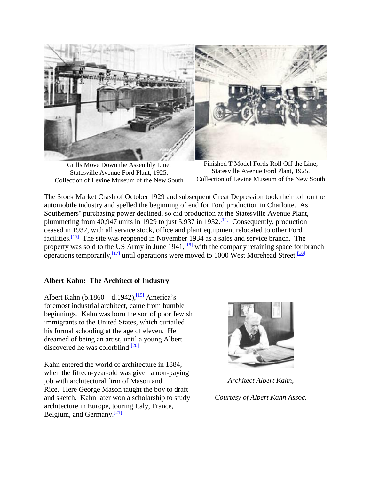

Grills Move Down the Assembly Line, Statesville Avenue Ford Plant, 1925. Collection of Levine Museum of the New South

Finished T Model Fords Roll Off the Line, Statesville Avenue Ford Plant, 1925. Collection of Levine Museum of the New South

The Stock Market Crash of October 1929 and subsequent Great Depression took their toll on the automobile industry and spelled the beginning of end for Ford production in Charlotte. As Southerners' purchasing power declined, so did production at the Statesville Avenue Plant, plummeting from 40,947 units in 1929 to just  $5,937$  in 1932.<sup>[\[14\]](http://cmhpf.org/S&Rs%20Alphabetical%20Order/surveys&rfordplantII.htm#_edn14)</sup> Consequently, production ceased in 1932, with all service stock, office and plant equipment relocated to other Ford facilities.[\[15\]](http://cmhpf.org/S&Rs%20Alphabetical%20Order/surveys&rfordplantII.htm#_edn15) The site was reopened in November 1934 as a sales and service branch. The property was sold to the US Army in June 1941,<sup>[\[16\]](http://cmhpf.org/S&Rs%20Alphabetical%20Order/surveys&rfordplantII.htm#_edn16)</sup> with the company retaining space for branch operations temporarily,  $\left[17\right]$  until operations were moved to 1000 West Morehead Street.  $\left[18\right]$ 

# **Albert Kahn: The Architect of Industry**

Albert Kahn (b.1860—d.1942), $^{[19]}$  $^{[19]}$  $^{[19]}$  America's foremost industrial architect, came from humble beginnings. Kahn was born the son of poor Jewish immigrants to the United States, which curtailed his formal schooling at the age of eleven. He dreamed of being an artist, until a young Albert discovered he was colorblind. $[20]$ 

Kahn entered the world of architecture in 1884, when the fifteen-year-old was given a non-paying job with architectural firm of Mason and Rice. Here George Mason taught the boy to draft and sketch. Kahn later won a scholarship to study architecture in Europe, touring Italy, France, Belgium, and Germany.[\[21\]](http://cmhpf.org/S&Rs%20Alphabetical%20Order/surveys&rfordplantII.htm#_edn21)



*Architect Albert Kahn, Courtesy of Albert Kahn Assoc.*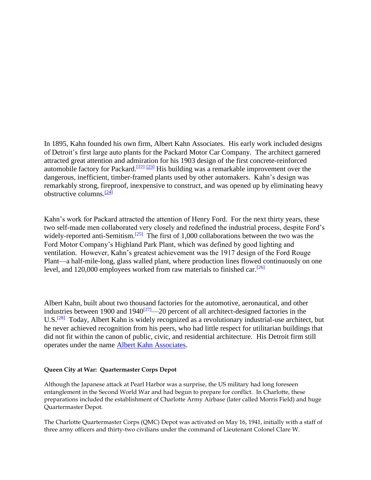In 1895, Kahn founded his own firm, Albert Kahn Associates. His early work included designs of Detroit's first large auto plants for the Packard Motor Car Company. The architect garnered attracted great attention and admiration for his 1903 design of the first concrete-reinforced automobile factory for Packard.<sup>[\[22\]](http://cmhpf.org/S&Rs%20Alphabetical%20Order/surveys&rfordplantII.htm#_edn22) [\[23\]](http://cmhpf.org/S&Rs%20Alphabetical%20Order/surveys&rfordplantII.htm#_edn23)</sup> His building was a remarkable improvement over the dangerous, inefficient, timber-framed plants used by other automakers. Kahn's design was remarkably strong, fireproof, inexpensive to construct, and was opened up by eliminating heavy obstructive columns. $[24]$ 

Kahn's work for Packard attracted the attention of Henry Ford. For the next thirty years, these two self-made men collaborated very closely and redefined the industrial process, despite Ford's widely-reported anti-Semitism.<sup>[\[25\]](http://cmhpf.org/S&Rs%20Alphabetical%20Order/surveys&rfordplantII.htm#_edn25)</sup> The first of 1,000 collaborations between the two was the Ford Motor Company's Highland Park Plant, which was defined by good lighting and ventilation. However, Kahn's greatest achievement was the 1917 design of the Ford Rouge Plant—a half-mile-long, glass walled plant, where production lines flowed continuously on one level, and 120,000 employees worked from raw materials to finished car.<sup>[\[26\]](http://cmhpf.org/S&Rs%20Alphabetical%20Order/surveys&rfordplantII.htm#_edn26)</sup>

Albert Kahn, built about two thousand factories for the automotive, aeronautical, and other industries between 1900 and 1940<sup>[\[27\]](http://cmhpf.org/S&Rs%20Alphabetical%20Order/surveys&rfordplantII.htm#_edn27)</sup>—20 percent of all architect-designed factories in the U.S.<sup>[\[28\]](http://cmhpf.org/S&Rs%20Alphabetical%20Order/surveys&rfordplantII.htm#_edn28)</sup> Today, Albert Kahn is widely recognized as a revolutionary industrial-use architect, but he never achieved recognition from his peers, who had little respect for utilitarian buildings that did not fit within the canon of public, civic, and residential architecture. His Detroit firm still operates under the name [Albert Kahn Associates.](http://www.albertkahn.com/)

#### **Queen City at War: Quartermaster Corps Depot**

Although the Japanese attack at Pearl Harbor was a surprise, the US military had long foreseen entanglement in the Second World War and had begun to prepare for conflict. In Charlotte, these preparations included the establishment of Charlotte Army Airbase (later called Morris Field) and huge Quartermaster Depot.

The Charlotte Quartermaster Corps (QMC) Depot was activated on May 16, 1941, initially with a staff of three army officers and thirty-two civilians under the command of Lieutenant Colonel Clare W.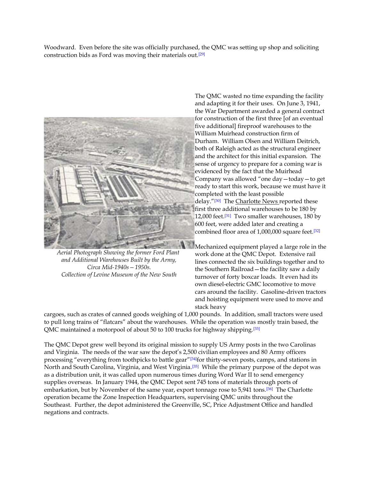Woodward. Even before the site was officially purchased, the QMC was setting up shop and soliciting construction bids as Ford was moving their materials out.[\[29\]](http://cmhpf.org/S&Rs%20Alphabetical%20Order/surveys&rfordplantII.htm#_edn29)



*Aerial Photograph Showing the former Ford Plant and Additional Warehouses Built by the Army, Circa Mid-1940s—1950s. Collection of Levine Museum of the New South*

The QMC wasted no time expanding the facility and adapting it for their uses. On June 3, 1941, the War Department awarded a general contract for construction of the first three [of an eventual five additional] fireproof warehouses to the William Muirhead construction firm of Durham. William Olsen and William Deitrich, both of Raleigh acted as the structural engineer and the architect for this initial expansion. The sense of urgency to prepare for a coming war is evidenced by the fact that the Muirhead Company was allowed "one day—today—to get ready to start this work, because we must have it completed with the least possible delay."<sup>[\[30\]](http://cmhpf.org/S&Rs%20Alphabetical%20Order/surveys&rfordplantII.htm#_edn30)</sup> The Charlotte News reported these first three additional warehouses to be 180 by 12,000 feet.<sup>[\[31\]](http://cmhpf.org/S&Rs%20Alphabetical%20Order/surveys&rfordplantII.htm#_edn31)</sup> Two smaller warehouses, 180 by 600 feet, were added later and creating a combined floor area of 1,000,000 square feet.<sup>[\[32\]](http://cmhpf.org/S&Rs%20Alphabetical%20Order/surveys&rfordplantII.htm#_edn32)</sup>

Mechanized equipment played a large role in the work done at the QMC Depot. Extensive rail lines connected the six buildings together and to the Southern Railroad—the facility saw a daily turnover of forty boxcar loads. It even had its own diesel-electric GMC locomotive to move cars around the facility. Gasoline-driven tractors and hoisting equipment were used to move and stack heavy

cargoes, such as crates of canned goods weighing of 1,000 pounds. In addition, small tractors were used to pull long trains of "flatcars" about the warehouses. While the operation was mostly train based, the QMC maintained a motorpool of about 50 to 100 trucks for highway shipping.<sup>[\[33\]](http://cmhpf.org/S&Rs%20Alphabetical%20Order/surveys&rfordplantII.htm#_edn33)</sup>

The QMC Depot grew well beyond its original mission to supply US Army posts in the two Carolinas and Virginia. The needs of the war saw the depot's 2,500 civilian employees and 80 Army officers processing "everything from toothpicks to battle gear"[\[34\]](http://cmhpf.org/S&Rs%20Alphabetical%20Order/surveys&rfordplantII.htm#_edn34)for thirty-seven posts, camps, and stations in North and South Carolina, Virginia, and West Virginia.[\[35\]](http://cmhpf.org/S&Rs%20Alphabetical%20Order/surveys&rfordplantII.htm#_edn35) While the primary purpose of the depot was as a distribution unit, it was called upon numerous times during Word War II to send emergency supplies overseas. In January 1944, the QMC Depot sent 745 tons of materials through ports of embarkation, but by November of the same year, export tonnage rose to 5,941 tons.<sup>[\[36\]](http://cmhpf.org/S&Rs%20Alphabetical%20Order/surveys&rfordplantII.htm#_edn36)</sup> The Charlotte operation became the Zone Inspection Headquarters, supervising QMC units throughout the Southeast. Further, the depot administered the Greenville, SC, Price Adjustment Office and handled negations and contracts.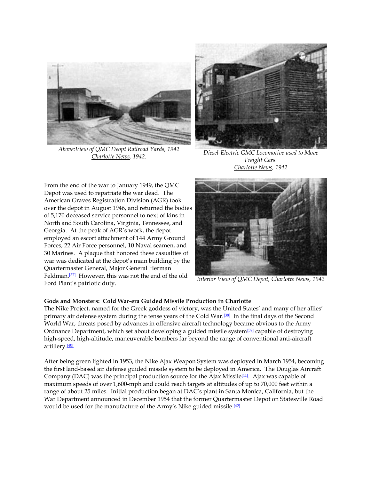

*Above:View of QMC Deopt Railroad Yards, 1942*



*Charlotte News, 1942. Diesel-Electric GMC Locomotive used to Move Freight Cars. Charlotte News, 1942*

From the end of the war to January 1949, the QMC Depot was used to repatriate the war dead. The American Graves Registration Division (AGR) took over the depot in August 1946, and returned the bodies of 5,170 deceased service personnel to next of kins in North and South Carolina, Virginia, Tennessee, and Georgia. At the peak of AGR's work, the depot employed an escort attachment of 144 Army Ground Forces, 22 Air Force personnel, 10 Naval seamen, and 30 Marines. A plaque that honored these casualties of war was dedicated at the depot's main building by the Quartermaster General, Major General Herman Feldman.[\[37\]](http://cmhpf.org/S&Rs%20Alphabetical%20Order/surveys&rfordplantII.htm#_edn37) However, this was not the end of the old Ford Plant's patriotic duty. *Interior View of QMC Depot, Charlotte News, 1942*



#### **Gods and Monsters: Cold War-era Guided Missile Production in Charlotte**

The Nike Project, named for the Greek goddess of victory, was the United States' and many of her allies' primary air defense system during the tense years of the Cold War.[\[38\]](http://cmhpf.org/S&Rs%20Alphabetical%20Order/surveys&rfordplantII.htm#_edn38) In the final days of the Second World War, threats posed by advances in offensive aircraft technology became obvious to the Army Ordnance Department, which set about developing a guided missile system[\[39\]](http://cmhpf.org/S&Rs%20Alphabetical%20Order/surveys&rfordplantII.htm#_edn39) capable of destroying high-speed, high-altitude, maneuverable bombers far beyond the range of conventional anti-aircraft artillery.<sup>[\[40\]](http://cmhpf.org/S&Rs%20Alphabetical%20Order/surveys&rfordplantII.htm#_edn40)</sup>

After being green lighted in 1953, the Nike Ajax Weapon System was deployed in March 1954, becoming the first land-based air defense guided missile system to be deployed in America. The Douglas Aircraft Company (DAC) was the principal production source for the Ajax Missile<sup>[\[41\]](http://cmhpf.org/S&Rs%20Alphabetical%20Order/surveys&rfordplantII.htm#_edn41)</sup>. Ajax was capable of maximum speeds of over 1,600-mph and could reach targets at altitudes of up to 70,000 feet within a range of about 25 miles. Initial production began at DAC's plant in Santa Monica, California, but the War Department announced in December 1954 that the former Quartermaster Depot on Statesville Road would be used for the manufacture of the Army's Nike guided missile.<sup>[\[42\]](http://cmhpf.org/S&Rs%20Alphabetical%20Order/surveys&rfordplantII.htm#_edn42)</sup>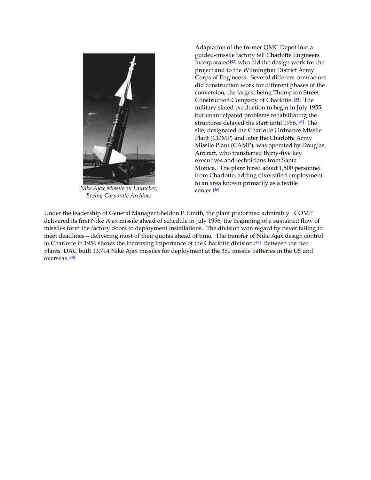

*Nike Ajax Missile on Launcher, Boeing Corporate Archives*

Adaptation of the former QMC Depot into a guided-missile factory fell Charlotte Engineers Incorporated[\[43\]](http://cmhpf.org/S&Rs%20Alphabetical%20Order/surveys&rfordplantII.htm#_edn43) who did the design work for the project and to the Wilmington District Army Corps of Engineers. Several different contractors did construction work for different phases of the conversion, the largest being Thompson Street Construction Company of Charlotte. [\[44\]](http://cmhpf.org/S&Rs%20Alphabetical%20Order/surveys&rfordplantII.htm#_edn44) The military slated production to begin in July 1955, but unanticipated problems rehabilitating the structures delayed the start until 1956.[\[45\]](http://cmhpf.org/S&Rs%20Alphabetical%20Order/surveys&rfordplantII.htm#_edn45) The site, designated the Charlotte Ordnance Missile Plant (COMP) and later the Charlotte Army Missile Plant (CAMP), was operated by Douglas Aircraft, who transferred thirty-five key executives and technicians from Santa Monica. The plant hired about 1,500 personnel from Charlotte, adding diversified employment to an area known primarily as a textile center.[\[46\]](http://cmhpf.org/S&Rs%20Alphabetical%20Order/surveys&rfordplantII.htm#_edn46)

Under the leadership of General Manager Sheldon P. Smith, the plant preformed admirably. COMP delivered its first Nike Ajax missile ahead of schedule in July 1956, the beginning of a sustained flow of missiles form the factory doors to deployment installations. The division won regard by never failing to meet deadlines—delivering most of their quotas ahead of time. The transfer of Nike Ajax design control to Charlotte in 1956 shows the increasing importance of the Charlotte division.<sup>[\[47\]](http://cmhpf.org/S&Rs%20Alphabetical%20Order/surveys&rfordplantII.htm#_edn47)</sup> Between the two plants, DAC built 13,714 Nike Ajax missiles for deployment at the 350 missile batteries in the US and overseas.[\[48\]](http://cmhpf.org/S&Rs%20Alphabetical%20Order/surveys&rfordplantII.htm#_edn48)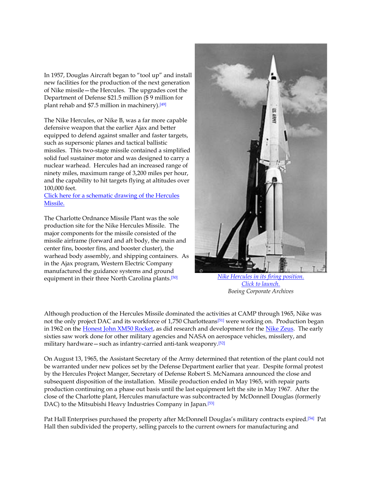In 1957, Douglas Aircraft began to "tool up" and install new facilities for the production of the next generation of Nike missile—the Hercules. The upgrades cost the Department of Defense \$21.5 million (\$ 9 million for plant rehab and \$7.5 million in machinery).[\[49\]](http://cmhpf.org/S&Rs%20Alphabetical%20Order/surveys&rfordplantII.htm#_edn49)

The Nike Hercules, or Nike B, was a far more capable defensive weapon that the earlier Ajax and better equipped to defend against smaller and faster targets, such as supersonic planes and tactical ballistic missiles. This two-stage missile contained a simplified solid fuel sustainer motor and was designed to carry a nuclear warhead. Hercules had an increased range of ninety miles, maximum range of 3,200 miles per hour, and the capability to hit targets flying at altitudes over 100,000 feet.

#### [Click here for a schematic drawing of the Hercules](file:///E:/Historic%20Landmarks%20Commission/FordMissilePlant/Pictures/Missile%20Plant/HercDrawing.jpg)  [Missile.](file:///E:/Historic%20Landmarks%20Commission/FordMissilePlant/Pictures/Missile%20Plant/HercDrawing.jpg)

The Charlotte Ordnance Missile Plant was the sole production site for the Nike Hercules Missile. The major components for the missile consisted of the missile airframe (forward and aft body, the main and center fins, booster fins, and booster cluster), the warhead body assembly, and shipping containers. As in the Ajax program, Western Electric Company manufactured the guidance systems and ground equipment in their three North Carolina plants.[\[50\]](http://cmhpf.org/S&Rs%20Alphabetical%20Order/surveys&rfordplantII.htm#_edn50) *[Nike Hercules in its firing position.](file:///E:/Historic%20Landmarks%20Commission/FordMissilePlant/Pictures/Missile%20Plant/HercLaunch_web.jpg)*



*[Click to launch.](file:///E:/Historic%20Landmarks%20Commission/FordMissilePlant/Pictures/Missile%20Plant/HercLaunch_web.jpg) Boeing Corporate Archives*

Although production of the Hercules Missile dominated the activities at CAMP through 1965, Nike was not the only project DAC and its workforce of 1,750 Charlotteans[\[51\]](http://cmhpf.org/S&Rs%20Alphabetical%20Order/surveys&rfordplantII.htm#_edn51) were working on. Production began in 1962 on the [Honest John XM50 Rocket,](file:///E:/Historic%20Landmarks%20Commission/FordMissilePlant/Pictures/Missile%20Plant/honest_john_01.jpg) as did research and development for the [Nike Zeus.](file:///E:/Historic%20Landmarks%20Commission/FordMissilePlant/Pictures/Missile%20Plant/Zeus_01.jpg) The early sixties saw work done for other military agencies and NASA on aerospace vehicles, missilery, and military hardware—such as infantry-carried anti-tank weaponry.[\[52\]](http://cmhpf.org/S&Rs%20Alphabetical%20Order/surveys&rfordplantII.htm#_edn52)

On August 13, 1965, the Assistant Secretary of the Army determined that retention of the plant could not be warranted under new polices set by the Defense Department earlier that year. Despite formal protest by the Hercules Project Manger, Secretary of Defense Robert S. McNamara announced the close and subsequent disposition of the installation. Missile production ended in May 1965, with repair parts production continuing on a phase out basis until the last equipment left the site in May 1967. After the close of the Charlotte plant, Hercules manufacture was subcontracted by McDonnell Douglas (formerly DAC) to the Mitsubishi Heavy Industries Company in Japan.<sup>[\[53\]](http://cmhpf.org/S&Rs%20Alphabetical%20Order/surveys&rfordplantII.htm#_edn53)</sup>

Pat Hall Enterprises purchased the property after McDonnell Douglas's military contracts expired.[\[54\]](http://cmhpf.org/S&Rs%20Alphabetical%20Order/surveys&rfordplantII.htm#_edn54) Pat Hall then subdivided the property, selling parcels to the current owners for manufacturing and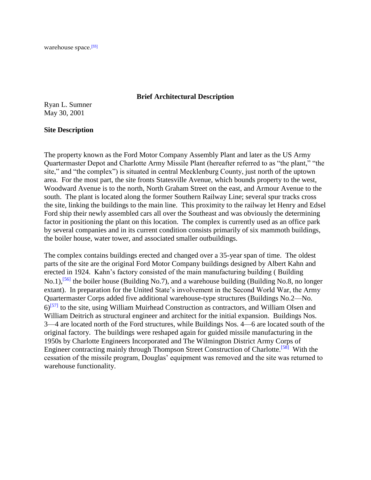warehouse space.[\[55\]](http://cmhpf.org/S&Rs%20Alphabetical%20Order/surveys&rfordplantII.htm#_edn55)

### **Brief Architectural Description**

Ryan L. Sumner May 30, 2001

#### **Site Description**

The property known as the Ford Motor Company Assembly Plant and later as the US Army Quartermaster Depot and Charlotte Army Missile Plant (hereafter referred to as "the plant," "the site," and "the complex") is situated in central Mecklenburg County, just north of the uptown area. For the most part, the site fronts Statesville Avenue, which bounds property to the west, Woodward Avenue is to the north, North Graham Street on the east, and Armour Avenue to the south. The plant is located along the former Southern Railway Line; several spur tracks cross the site, linking the buildings to the main line. This proximity to the railway let Henry and Edsel Ford ship their newly assembled cars all over the Southeast and was obviously the determining factor in positioning the plant on this location. The complex is currently used as an office park by several companies and in its current condition consists primarily of six mammoth buildings, the boiler house, water tower, and associated smaller outbuildings.

The complex contains buildings erected and changed over a 35-year span of time. The oldest parts of the site are the original Ford Motor Company buildings designed by Albert Kahn and erected in 1924. Kahn's factory consisted of the main manufacturing building ( Building No.1),<sup>[\[56\]](http://cmhpf.org/S&Rs%20Alphabetical%20Order/surveys&rfordplantII.htm#_edn56)</sup> the boiler house (Building No.7), and a warehouse building (Building No.8, no longer extant). In preparation for the United State's involvement in the Second World War, the Army Quartermaster Corps added five additional warehouse-type structures (Buildings No.2—No.  $6$ <sup>[\[57\]](http://cmhpf.org/S&Rs%20Alphabetical%20Order/surveys&rfordplantII.htm#_edn57)</sup> to the site, using William Muirhead Construction as contractors, and William Olsen and William Deitrich as structural engineer and architect for the initial expansion. Buildings Nos. 3—4 are located north of the Ford structures, while Buildings Nos. 4—6 are located south of the original factory. The buildings were reshaped again for guided missile manufacturing in the 1950s by Charlotte Engineers Incorporated and The Wilmington District Army Corps of Engineer contracting mainly through Thompson Street Construction of Charlotte.[\[58\]](http://cmhpf.org/S&Rs%20Alphabetical%20Order/surveys&rfordplantII.htm#_edn58) With the cessation of the missile program, Douglas' equipment was removed and the site was returned to warehouse functionality.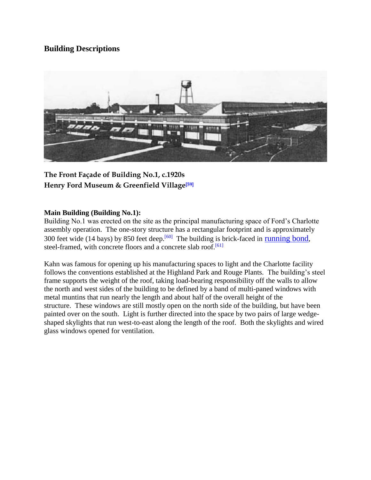# **Building Descriptions**



**The Front Façade of Building No.1, c.1920s Henry Ford Museum & Greenfield Village[\[59\]](http://cmhpf.org/S&Rs%20Alphabetical%20Order/surveys&rfordplantII.htm#_edn59)**

# **Main Building (Building No.1):**

Building No.1 was erected on the site as the principal manufacturing space of Ford's Charlotte assembly operation. The one-story structure has a rectangular footprint and is approximately 300 feet wide (14 bays) by 850 feet deep.<sup>[\[60\]](http://cmhpf.org/S&Rs%20Alphabetical%20Order/surveys&rfordplantII.htm#_edn60)</sup> The building is brick-faced in [running bond](http://www.landmarkscommission.org/kids/guideboox/brick.html), steel-framed, with concrete floors and a concrete slab roof.<sup>[\[61\]](http://cmhpf.org/S&Rs%20Alphabetical%20Order/surveys&rfordplantII.htm#_edn61)</sup>

Kahn was famous for opening up his manufacturing spaces to light and the Charlotte facility follows the conventions established at the Highland Park and Rouge Plants. The building's steel frame supports the weight of the roof, taking load-bearing responsibility off the walls to allow the north and west sides of the building to be defined by a band of multi-paned windows with metal muntins that run nearly the length and about half of the overall height of the structure. These windows are still mostly open on the north side of the building, but have been painted over on the south. Light is further directed into the space by two pairs of large wedgeshaped skylights that run west-to-east along the length of the roof. Both the skylights and wired glass windows opened for ventilation.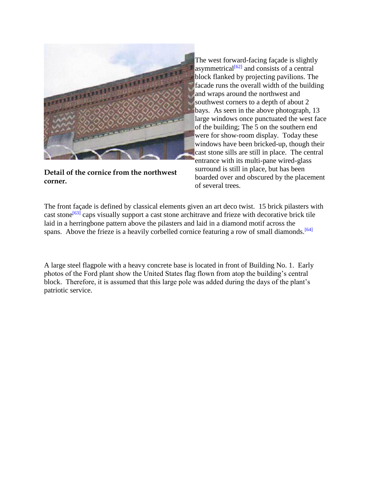

**Detail of the cornice from the northwest corner.**

The west forward-facing façade is slightly asymmetrical $^{[62]}$  $^{[62]}$  $^{[62]}$  and consists of a central block flanked by projecting pavilions. The facade runs the overall width of the building and wraps around the northwest and southwest corners to a depth of about 2 bays. As seen in the above photograph, 13 large windows once punctuated the west face of the building; The 5 on the southern end were for show-room display. Today these windows have been bricked-up, though their cast stone sills are still in place. The central entrance with its multi-pane wired-glass surround is still in place, but has been boarded over and obscured by the placement of several trees.

The front façade is defined by classical elements given an art deco twist. 15 brick pilasters with cast stone<sup>[\[63\]](http://cmhpf.org/S&Rs%20Alphabetical%20Order/surveys&rfordplantII.htm#_edn63)</sup> caps visually support a cast stone architrave and frieze with decorative brick tile laid in a herringbone pattern above the pilasters and laid in a diamond motif across the spans. Above the frieze is a heavily corbelled cornice featuring a row of small diamonds.<sup>[\[64\]](http://cmhpf.org/S&Rs%20Alphabetical%20Order/surveys&rfordplantII.htm#_edn64)</sup>

A large steel flagpole with a heavy concrete base is located in front of Building No. 1. Early photos of the Ford plant show the United States flag flown from atop the building's central block. Therefore, it is assumed that this large pole was added during the days of the plant's patriotic service.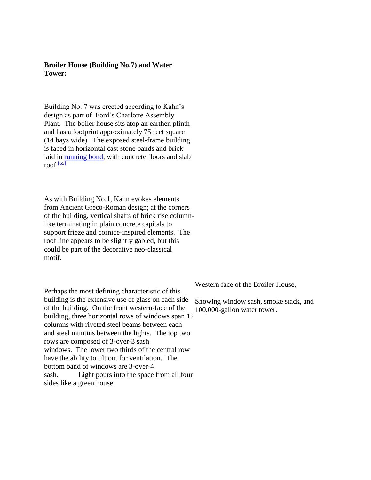**Broiler House (Building No.7) and Water Tower:**

Building No. 7 was erected according to Kahn's design as part of Ford's Charlotte Assembly Plant. The boiler house sits atop an earthen plinth and has a footprint approximately 75 feet square (14 bays wide). The exposed steel-frame building is faced in horizontal cast stone bands and brick laid in [running bond,](http://www.landmarkscommission.org/kids/guideboox/brick.html) with concrete floors and slab roof. $[65]$ 

As with Building No.1, Kahn evokes elements from Ancient Greco-Roman design; at the corners of the building, vertical shafts of brick rise columnlike terminating in plain concrete capitals to support frieze and cornice-inspired elements. The roof line appears to be slightly gabled, but this could be part of the decorative neo-classical motif.

Perhaps the most defining characteristic of this building is the extensive use of glass on each side of the building. On the front western-face of the building, three horizontal rows of windows span 12 columns with riveted steel beams between each and steel muntins between the lights. The top two rows are composed of 3-over-3 sash windows. The lower two thirds of the central row have the ability to tilt out for ventilation. The bottom band of windows are 3-over-4 sash. Light pours into the space from all four sides like a green house.

Western face of the Broiler House,

Showing window sash, smoke stack, and 100,000-gallon water tower.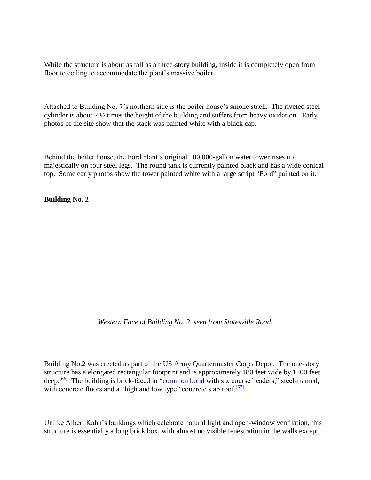While the structure is about as tall as a three-story building, inside it is completely open from floor to ceiling to accommodate the plant's massive boiler.

Attached to Building No. 7's northern side is the boiler house's smoke stack. The riveted steel cylinder is about 2 ½ times the height of the building and suffers from heavy oxidation. Early photos of the site show that the stack was painted white with a black cap.

Behind the boiler house, the Ford plant's original 100,000-gallon water tower rises up majestically on four steel legs. The round tank is currently painted black and has a wide conical top. Some early photos show the tower painted white with a large script "Ford" painted on it.

**Building No. 2**

*Western Face of Building No. 2, seen from Statesville Road.*

Building No.2 was erected as part of the US Army Quartermaster Corps Depot. The one-story structure has a elongated rectangular footprint and is approximately 180 feet wide by 1200 feet deep.<sup>[\[66\]](http://cmhpf.org/S&Rs%20Alphabetical%20Order/surveys&rfordplantII.htm#_edn66)</sup> The building is brick-faced in ["common bond](http://www.landmarkscommission.org/kids/guideboox/brick.html) with six course headers," steel-framed, with concrete floors and a "high and low type" concrete slab roof.<sup>[\[67\]](http://cmhpf.org/S&Rs%20Alphabetical%20Order/surveys&rfordplantII.htm#_edn67)</sup>

Unlike Albert Kahn's buildings which celebrate natural light and open-window ventilation, this structure is essentially a long brick box, with almost no visible fenestration in the walls except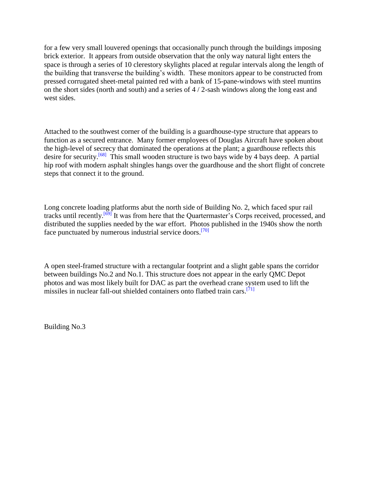for a few very small louvered openings that occasionally punch through the buildings imposing brick exterior. It appears from outside observation that the only way natural light enters the space is through a series of 10 clerestory skylights placed at regular intervals along the length of the building that transverse the building's width. These monitors appear to be constructed from pressed corrugated sheet-metal painted red with a bank of 15-pane-windows with steel muntins on the short sides (north and south) and a series of 4 / 2-sash windows along the long east and west sides.

Attached to the southwest corner of the building is a guardhouse-type structure that appears to function as a secured entrance. Many former employees of Douglas Aircraft have spoken about the high-level of secrecy that dominated the operations at the plant; a guardhouse reflects this desire for security.<sup>[\[68\]](http://cmhpf.org/S&Rs%20Alphabetical%20Order/surveys&rfordplantII.htm#_edn68)</sup> This small wooden structure is two bays wide by 4 bays deep. A partial hip roof with modern asphalt shingles hangs over the guardhouse and the short flight of concrete steps that connect it to the ground.

Long concrete loading platforms abut the north side of Building No. 2, which faced spur rail tracks until recently.<sup>[\[69\]](http://cmhpf.org/S&Rs%20Alphabetical%20Order/surveys&rfordplantII.htm#_edn69)</sup> It was from here that the Quartermaster's Corps received, processed, and distributed the supplies needed by the war effort. Photos published in the 1940s show the north face punctuated by numerous industrial service doors.<sup>[\[70\]](http://cmhpf.org/S&Rs%20Alphabetical%20Order/surveys&rfordplantII.htm#_edn70)</sup>

A open steel-framed structure with a rectangular footprint and a slight gable spans the corridor between buildings No.2 and No.1. This structure does not appear in the early QMC Depot photos and was most likely built for DAC as part the overhead crane system used to lift the missiles in nuclear fall-out shielded containers onto flatbed train cars.<sup>[\[71\]](http://cmhpf.org/S&Rs%20Alphabetical%20Order/surveys&rfordplantII.htm#_edn71)</sup>

Building No.3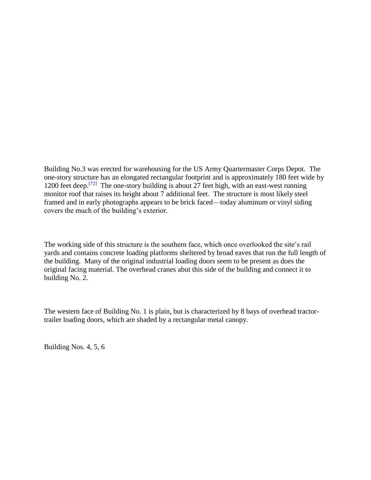Building No.3 was erected for warehousing for the US Army Quartermaster Corps Depot. The one-story structure has an elongated rectangular footprint and is approximately 180 feet wide by 1200 feet deep.<sup>[\[72\]](http://cmhpf.org/S&Rs%20Alphabetical%20Order/surveys&rfordplantII.htm#_edn72)</sup> The one-story building is about 27 feet high, with an east-west running monitor roof that raises its height about 7 additional feet. The structure is most likely steel framed and in early photographs appears to be brick faced—today aluminum or vinyl siding covers the much of the building's exterior.

The working side of this structure is the southern face, which once overlooked the site's rail yards and contains concrete loading platforms sheltered by broad eaves that run the full length of the building. Many of the original industrial loading doors seem to be present as does the original facing material. The overhead cranes abut this side of the building and connect it to building No. 2.

The western face of Building No. 1 is plain, but is characterized by 8 bays of overhead tractortrailer loading doors, which are shaded by a rectangular metal canopy.

Building Nos. 4, 5, 6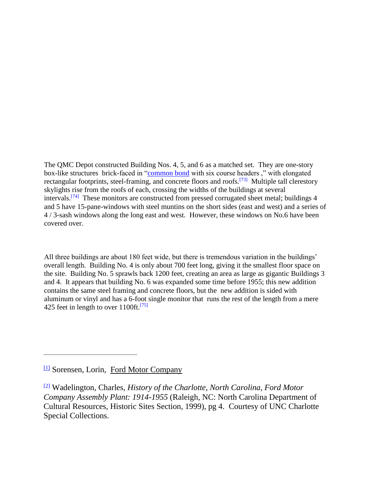The QMC Depot constructed Building Nos. 4, 5, and 6 as a matched set. They are one-story box-like structures brick-faced in ["common bond](http://www.landmarkscommission.org/kids/guideboox/brick.html) with six course headers ," with elongated rectangular footprints, steel-framing, and concrete floors and roofs.<sup>[\[73\]](http://cmhpf.org/S&Rs%20Alphabetical%20Order/surveys&rfordplantII.htm#_edn73)</sup> Multiple tall clerestory skylights rise from the roofs of each, crossing the widths of the buildings at several intervals.<sup>[\[74\]](http://cmhpf.org/S&Rs%20Alphabetical%20Order/surveys&rfordplantII.htm#_edn74)</sup> These monitors are constructed from pressed corrugated sheet metal; buildings 4 and 5 have 15-pane-windows with steel muntins on the short sides (east and west) and a series of 4 / 3-sash windows along the long east and west. However, these windows on No.6 have been covered over.

All three buildings are about 180 feet wide, but there is tremendous variation in the buildings' overall length. Building No. 4 is only about 700 feet long, giving it the smallest floor space on the site. Building No. 5 sprawls back 1200 feet, creating an area as large as gigantic Buildings 3 and 4. It appears that building No. 6 was expanded some time before 1955; this new addition contains the same steel framing and concrete floors, but the new addition is sided with aluminum or vinyl and has a 6-foot single monitor that runs the rest of the length from a mere 425 feet in length to over 1100ft.<sup>[\[75\]](http://cmhpf.org/S&Rs%20Alphabetical%20Order/surveys&rfordplantII.htm#_edn75)</sup>

[<sup>\[1\]</sup>](http://cmhpf.org/S&Rs%20Alphabetical%20Order/surveys&rfordplantII.htm#_ednref1) Sorensen, Lorin, Ford Motor Company

[<sup>\[2\]</sup>](http://cmhpf.org/S&Rs%20Alphabetical%20Order/surveys&rfordplantII.htm#_ednref2) Wadelington, Charles, *History of the Charlotte, North Carolina, Ford Motor Company Assembly Plant: 1914-1955* (Raleigh, NC: North Carolina Department of Cultural Resources, Historic Sites Section, 1999), pg 4. Courtesy of UNC Charlotte Special Collections.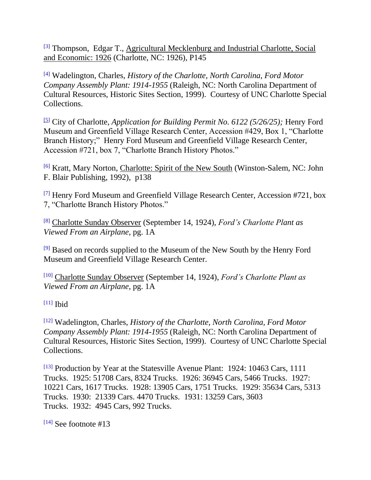[\[3\]](http://cmhpf.org/S&Rs%20Alphabetical%20Order/surveys&rfordplantII.htm#_ednref3) Thompson, Edgar T., Agricultural Mecklenburg and Industrial Charlotte, Social and Economic: 1926 (Charlotte, NC: 1926), P145

[\[4\]](http://cmhpf.org/S&Rs%20Alphabetical%20Order/surveys&rfordplantII.htm#_ednref4) Wadelington, Charles, *History of the Charlotte, North Carolina, Ford Motor Company Assembly Plant: 1914-1955* (Raleigh, NC: North Carolina Department of Cultural Resources, Historic Sites Section, 1999). Courtesy of UNC Charlotte Special Collections.

[\[5\]](http://cmhpf.org/S&Rs%20Alphabetical%20Order/surveys&rfordplantII.htm#_ednref5) City of Charlotte, *Application for Building Permit No. 6122 (5/26/25);* Henry Ford Museum and Greenfield Village Research Center, Accession #429, Box 1, "Charlotte Branch History;" Henry Ford Museum and Greenfield Village Research Center, Accession #721, box 7, "Charlotte Branch History Photos."

[\[6\]](http://cmhpf.org/S&Rs%20Alphabetical%20Order/surveys&rfordplantII.htm#_ednref6) Kratt, Mary Norton, Charlotte: Spirit of the New South (Winston-Salem, NC: John F. Blair Publishing, 1992), p138

<sup>[\[7\]](http://cmhpf.org/S&Rs%20Alphabetical%20Order/surveys&rfordplantII.htm#_ednref7)</sup> Henry Ford Museum and Greenfield Village Research Center, Accession #721, box 7, "Charlotte Branch History Photos."

[\[8\]](http://cmhpf.org/S&Rs%20Alphabetical%20Order/surveys&rfordplantII.htm#_ednref8) Charlotte Sunday Observer (September 14, 1924), *Ford's Charlotte Plant as Viewed From an Airplane*, pg. 1A

<sup>[\[9\]](http://cmhpf.org/S&Rs%20Alphabetical%20Order/surveys&rfordplantII.htm#_ednref9)</sup> Based on records supplied to the Museum of the New South by the Henry Ford Museum and Greenfield Village Research Center.

[\[10\]](http://cmhpf.org/S&Rs%20Alphabetical%20Order/surveys&rfordplantII.htm#_ednref10) Charlotte Sunday Observer (September 14, 1924), *Ford's Charlotte Plant as Viewed From an Airplane*, pg. 1A

 $[11]$  Ibid

[\[12\]](http://cmhpf.org/S&Rs%20Alphabetical%20Order/surveys&rfordplantII.htm#_ednref12) Wadelington, Charles, *History of the Charlotte, North Carolina, Ford Motor Company Assembly Plant: 1914-1955* (Raleigh, NC: North Carolina Department of Cultural Resources, Historic Sites Section, 1999). Courtesy of UNC Charlotte Special Collections.

[\[13\]](http://cmhpf.org/S&Rs%20Alphabetical%20Order/surveys&rfordplantII.htm#_ednref13) Production by Year at the Statesville Avenue Plant: 1924: 10463 Cars, 1111 Trucks. 1925: 51708 Cars, 8324 Trucks. 1926: 36945 Cars, 5466 Trucks. 1927: 10221 Cars, 1617 Trucks. 1928: 13905 Cars, 1751 Trucks. 1929: 35634 Cars, 5313 Trucks. 1930: 21339 Cars. 4470 Trucks. 1931: 13259 Cars, 3603 Trucks. 1932: 4945 Cars, 992 Trucks.

 $[14]$  See footnote #13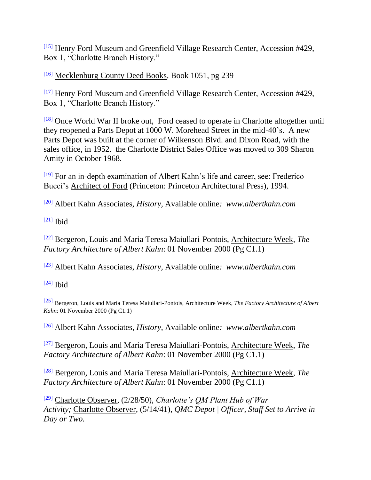[\[15\]](http://cmhpf.org/S&Rs%20Alphabetical%20Order/surveys&rfordplantII.htm#_ednref15) Henry Ford Museum and Greenfield Village Research Center, Accession #429, Box 1, "Charlotte Branch History."

[\[16\]](http://cmhpf.org/S&Rs%20Alphabetical%20Order/surveys&rfordplantII.htm#_ednref16) Mecklenburg County Deed Books, Book 1051, pg 239

[\[17\]](http://cmhpf.org/S&Rs%20Alphabetical%20Order/surveys&rfordplantII.htm#_ednref17) Henry Ford Museum and Greenfield Village Research Center, Accession #429, Box 1, "Charlotte Branch History."

[\[18\]](http://cmhpf.org/S&Rs%20Alphabetical%20Order/surveys&rfordplantII.htm#_ednref18) Once World War II broke out, Ford ceased to operate in Charlotte altogether until they reopened a Parts Depot at 1000 W. Morehead Street in the mid-40's. A new Parts Depot was built at the corner of Wilkenson Blvd. and Dixon Road, with the sales office, in 1952. the Charlotte District Sales Office was moved to 309 Sharon Amity in October 1968.

[\[19\]](http://cmhpf.org/S&Rs%20Alphabetical%20Order/surveys&rfordplantII.htm#_ednref19) For an in-depth examination of Albert Kahn's life and career, see: Frederico Bucci's Architect of Ford (Princeton: Princeton Architectural Press), 1994.

[\[20\]](http://cmhpf.org/S&Rs%20Alphabetical%20Order/surveys&rfordplantII.htm#_ednref20) Albert Kahn Associates, *History,* Available online*: www.albertkahn.com*

 $[21]$  Ibid

[\[22\]](http://cmhpf.org/S&Rs%20Alphabetical%20Order/surveys&rfordplantII.htm#_ednref22) Bergeron, Louis and Maria Teresa Maiullari-Pontois, Architecture Week, *The Factory Architecture of Albert Kahn*: 01 November 2000 (Pg C1.1)

[\[23\]](http://cmhpf.org/S&Rs%20Alphabetical%20Order/surveys&rfordplantII.htm#_ednref23) Albert Kahn Associates, *History,* Available online*: www.albertkahn.com*

 $[24]$  Ibid

[\[25\]](http://cmhpf.org/S&Rs%20Alphabetical%20Order/surveys&rfordplantII.htm#_ednref25) Bergeron, Louis and Maria Teresa Maiullari-Pontois, Architecture Week, *The Factory Architecture of Albert Kahn*: 01 November 2000 (Pg C1.1)

[\[26\]](http://cmhpf.org/S&Rs%20Alphabetical%20Order/surveys&rfordplantII.htm#_ednref26) Albert Kahn Associates, *History,* Available online*: www.albertkahn.com*

[\[27\]](http://cmhpf.org/S&Rs%20Alphabetical%20Order/surveys&rfordplantII.htm#_ednref27) Bergeron, Louis and Maria Teresa Maiullari-Pontois, Architecture Week, *The Factory Architecture of Albert Kahn*: 01 November 2000 (Pg C1.1)

[\[28\]](http://cmhpf.org/S&Rs%20Alphabetical%20Order/surveys&rfordplantII.htm#_ednref28) Bergeron, Louis and Maria Teresa Maiullari-Pontois, Architecture Week, *The Factory Architecture of Albert Kahn*: 01 November 2000 (Pg C1.1)

[\[29\]](http://cmhpf.org/S&Rs%20Alphabetical%20Order/surveys&rfordplantII.htm#_ednref29) Charlotte Observer, (2/28/50), *Charlotte's QM Plant Hub of War Activity;* Charlotte Observer, (5/14/41)*, QMC Depot | Officer, Staff Set to Arrive in Day or Two.*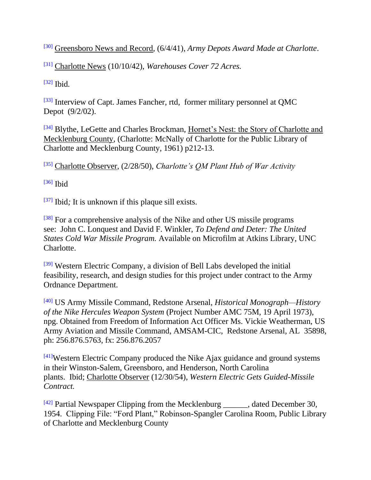[\[30\]](http://cmhpf.org/S&Rs%20Alphabetical%20Order/surveys&rfordplantII.htm#_ednref30) Greensboro News and Record, (6/4/41), *Army Depots Award Made at Charlotte*.

[\[31\]](http://cmhpf.org/S&Rs%20Alphabetical%20Order/surveys&rfordplantII.htm#_ednref31) Charlotte News (10/10/42), *Warehouses Cover 72 Acres.*

[\[32\]](http://cmhpf.org/S&Rs%20Alphabetical%20Order/surveys&rfordplantII.htm#_ednref32) Ibid*.*

[\[33\]](http://cmhpf.org/S&Rs%20Alphabetical%20Order/surveys&rfordplantII.htm#_ednref33) Interview of Capt. James Fancher, rtd, former military personnel at QMC Depot (9/2/02).

[\[34\]](http://cmhpf.org/S&Rs%20Alphabetical%20Order/surveys&rfordplantII.htm#_ednref34) Blythe, LeGette and Charles Brockman, Hornet's Nest: the Story of Charlotte and Mecklenburg County, (Charlotte: McNally of Charlotte for the Public Library of Charlotte and Mecklenburg County, 1961) p212-13.

[\[35\]](http://cmhpf.org/S&Rs%20Alphabetical%20Order/surveys&rfordplantII.htm#_ednref35) Charlotte Observer, (2/28/50), *Charlotte's QM Plant Hub of War Activity*

 $[36]$  Ibid

[\[37\]](http://cmhpf.org/S&Rs%20Alphabetical%20Order/surveys&rfordplantII.htm#_ednref37) Ibid*;* It is unknown if this plaque sill exists.

<sup>[\[38\]](http://cmhpf.org/S&Rs%20Alphabetical%20Order/surveys&rfordplantII.htm#_ednref38)</sup> For a comprehensive analysis of the Nike and other US missile programs see: John C. Lonquest and David F. Winkler, *To Defend and Deter: The United States Cold War Missile Program.* Available on Microfilm at Atkins Library, UNC Charlotte.

<sup>[\[39\]](http://cmhpf.org/S&Rs%20Alphabetical%20Order/surveys&rfordplantII.htm#_ednref39)</sup> Western Electric Company, a division of Bell Labs developed the initial feasibility, research, and design studies for this project under contract to the Army Ordnance Department.

[\[40\]](http://cmhpf.org/S&Rs%20Alphabetical%20Order/surveys&rfordplantII.htm#_ednref40) US Army Missile Command, Redstone Arsenal, *Historical Monograph—History of the Nike Hercules Weapon System* (Project Number AMC 75M, 19 April 1973), npg. Obtained from Freedom of Information Act Officer Ms. Vickie Weatherman, US Army Aviation and Missile Command, AMSAM-CIC, Redstone Arsenal, AL 35898, ph: 256.876.5763, fx: 256.876.2057

[\[41\]](http://cmhpf.org/S&Rs%20Alphabetical%20Order/surveys&rfordplantII.htm#_ednref41)Western Electric Company produced the Nike Ajax guidance and ground systems in their Winston-Salem, Greensboro, and Henderson, North Carolina plants. Ibid; Charlotte Observer (12/30/54), *Western Electric Gets Guided-Missile Contract.*

 $[42]$  Partial Newspaper Clipping from the Mecklenburg \_\_\_\_\_\_, dated December 30, 1954. Clipping File: "Ford Plant," Robinson-Spangler Carolina Room, Public Library of Charlotte and Mecklenburg County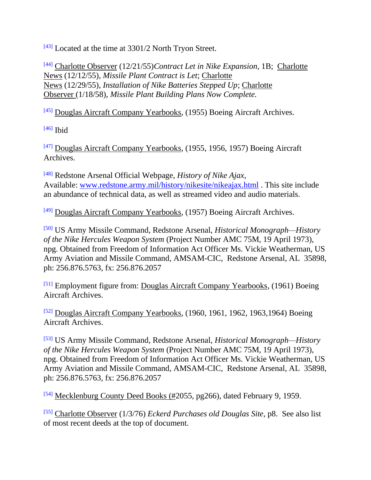[\[43\]](http://cmhpf.org/S&Rs%20Alphabetical%20Order/surveys&rfordplantII.htm#_ednref43) Located at the time at 3301/2 North Tryon Street.

[\[44\]](http://cmhpf.org/S&Rs%20Alphabetical%20Order/surveys&rfordplantII.htm#_ednref44) Charlotte Observer (12/21/55)*Contract Let in Nike Expansion*, 1B; Charlotte News (12/12/55), *Missile Plant Contract is Let*; Charlotte News (12/29/55), *Installation of Nike Batteries Stepped Up*; Charlotte Observer (1/18/58), *Missile Plant Building Plans Now Complete.*

[\[45\]](http://cmhpf.org/S&Rs%20Alphabetical%20Order/surveys&rfordplantII.htm#_ednref45) Douglas Aircraft Company Yearbooks, (1955) Boeing Aircraft Archives.

[\[46\]](http://cmhpf.org/S&Rs%20Alphabetical%20Order/surveys&rfordplantII.htm#_ednref46) **Ibid** 

[\[47\]](http://cmhpf.org/S&Rs%20Alphabetical%20Order/surveys&rfordplantII.htm#_ednref47) Douglas Aircraft Company Yearbooks, (1955, 1956, 1957) Boeing Aircraft Archives.

[\[48\]](http://cmhpf.org/S&Rs%20Alphabetical%20Order/surveys&rfordplantII.htm#_ednref48) Redstone Arsenal Official Webpage, *History of Nike Ajax*, Available: [www.redstone.army.mil/history/nikesite/nikeajax.html](http://www.redstone.army.mil/history/nikesite/nikeajax.html) . This site include an abundance of technical data, as well as streamed video and audio materials.

<sup>[\[49\]](http://cmhpf.org/S&Rs%20Alphabetical%20Order/surveys&rfordplantII.htm#_ednref49)</sup> Douglas Aircraft Company Yearbooks, (1957) Boeing Aircraft Archives.

[\[50\]](http://cmhpf.org/S&Rs%20Alphabetical%20Order/surveys&rfordplantII.htm#_ednref50) US Army Missile Command, Redstone Arsenal, *Historical Monograph—History of the Nike Hercules Weapon System* (Project Number AMC 75M, 19 April 1973), npg. Obtained from Freedom of Information Act Officer Ms. Vickie Weatherman, US Army Aviation and Missile Command, AMSAM-CIC, Redstone Arsenal, AL 35898, ph: 256.876.5763, fx: 256.876.2057

[\[51\]](http://cmhpf.org/S&Rs%20Alphabetical%20Order/surveys&rfordplantII.htm#_ednref51) Employment figure from: Douglas Aircraft Company Yearbooks, (1961) Boeing Aircraft Archives.

[\[52\]](http://cmhpf.org/S&Rs%20Alphabetical%20Order/surveys&rfordplantII.htm#_ednref52) Douglas Aircraft Company Yearbooks, (1960, 1961, 1962, 1963,1964) Boeing Aircraft Archives.

[\[53\]](http://cmhpf.org/S&Rs%20Alphabetical%20Order/surveys&rfordplantII.htm#_ednref53) US Army Missile Command, Redstone Arsenal, *Historical Monograph—History of the Nike Hercules Weapon System* (Project Number AMC 75M, 19 April 1973), npg. Obtained from Freedom of Information Act Officer Ms. Vickie Weatherman, US Army Aviation and Missile Command, AMSAM-CIC, Redstone Arsenal, AL 35898, ph: 256.876.5763, fx: 256.876.2057

[\[54\]](http://cmhpf.org/S&Rs%20Alphabetical%20Order/surveys&rfordplantII.htm#_ednref54) Mecklenburg County Deed Books (#2055, pg266), dated February 9, 1959.

[\[55\]](http://cmhpf.org/S&Rs%20Alphabetical%20Order/surveys&rfordplantII.htm#_ednref55) Charlotte Observer (1/3/76) *Eckerd Purchases old Douglas Site*, p8. See also list of most recent deeds at the top of document.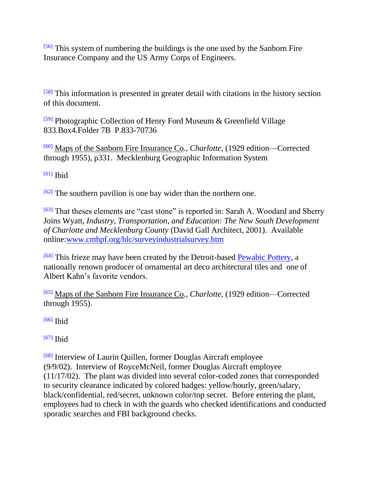[\[56\]](http://cmhpf.org/S&Rs%20Alphabetical%20Order/surveys&rfordplantII.htm#_ednref56) This system of numbering the buildings is the one used by the Sanborn Fire Insurance Company and the US Army Corps of Engineers.

[\[58\]](http://cmhpf.org/S&Rs%20Alphabetical%20Order/surveys&rfordplantII.htm#_ednref58) This information is presented in greater detail with citations in the history section of this document.

[\[59\]](http://cmhpf.org/S&Rs%20Alphabetical%20Order/surveys&rfordplantII.htm#_ednref59) Photographic Collection of Henry Ford Museum & Greenfield Village 833.Box4.Folder 7B P.833-70736

[\[60\]](http://cmhpf.org/S&Rs%20Alphabetical%20Order/surveys&rfordplantII.htm#_ednref60) Maps of the Sanborn Fire Insurance Co*.*, *Charlotte*, (1929 edition—Corrected through 1955), p331. Mecklenburg Geographic Information System

 $[61]$  Ibid

 $[62]$  The southern pavilion is one bay wider than the northern one.

[\[63\]](http://cmhpf.org/S&Rs%20Alphabetical%20Order/surveys&rfordplantII.htm#_ednref63) That theses elements are "cast stone" is reported in: Sarah A. Woodard and Sherry Joins Wyatt, *Industry, Transportation, and Education: The New South Development of Charlotte and Mecklenburg County* (David Gall Architect, 2001). Available online[:www.cmhpf.org/hlc/surveyindustrialsurvey.htm](http://www.cmhpf.org/hlc/surveyindustrialsurvey.htm)

[\[64\]](http://cmhpf.org/S&Rs%20Alphabetical%20Order/surveys&rfordplantII.htm#_ednref64) This frieze may have been created by the Detroit-based [Pewabic Pottery,](http://www.pewabic.com/) a nationally renown producer of ornamental art deco architectural tiles and one of Albert Kahn's favorite vendors.

[\[65\]](http://cmhpf.org/S&Rs%20Alphabetical%20Order/surveys&rfordplantII.htm#_ednref65) Maps of the Sanborn Fire Insurance Co*.*, *Charlotte*, (1929 edition—Corrected through 1955).

 $[66]$  Ibid

[\[67\]](http://cmhpf.org/S&Rs%20Alphabetical%20Order/surveys&rfordplantII.htm#_ednref67) **Ibid** 

[\[68\]](http://cmhpf.org/S&Rs%20Alphabetical%20Order/surveys&rfordplantII.htm#_ednref68) Interview of Laurin Quillen, former Douglas Aircraft employee (9/9/02). Interview of RoyceMcNeil, former Douglas Aircraft employee (11/17/02). The plant was divided into several color-coded zones that corresponded to security clearance indicated by colored badges: yellow/hourly, green/salary, black/confidential, red/secret, unknown color/top secret. Before entering the plant, employees had to check in with the guards who checked identifications and conducted sporadic searches and FBI background checks.